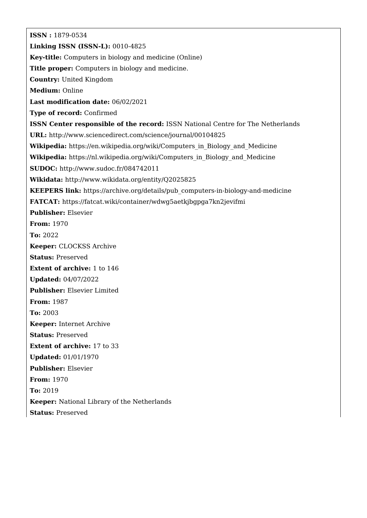**ISSN :** 1879-0534 **Linking ISSN (ISSN-L):** 0010-4825 **Key-title:** Computers in biology and medicine (Online) **Title proper:** Computers in biology and medicine. **Country:** United Kingdom **Medium:** Online **Last modification date:** 06/02/2021 **Type of record:** Confirmed **ISSN Center responsible of the record:** ISSN National Centre for The Netherlands **URL:** <http://www.sciencedirect.com/science/journal/00104825> Wikipedia: [https://en.wikipedia.org/wiki/Computers\\_in\\_Biology\\_and\\_Medicine](https://en.wikipedia.org/wiki/Computers_in_Biology_and_Medicine) Wikipedia: [https://nl.wikipedia.org/wiki/Computers\\_in\\_Biology\\_and\\_Medicine](https://nl.wikipedia.org/wiki/Computers_in_Biology_and_Medicine) **SUDOC:** <http://www.sudoc.fr/084742011> **Wikidata:** <http://www.wikidata.org/entity/Q2025825> **KEEPERS link:** [https://archive.org/details/pub\\_computers-in-biology-and-medicine](https://archive.org/details/pub_computers-in-biology-and-medicine) **FATCAT:** <https://fatcat.wiki/container/wdwg5aetkjbgpga7kn2jevifmi> **Publisher:** Elsevier **From:** 1970 **To:** 2022 **Keeper:** CLOCKSS Archive **Status:** Preserved **Extent of archive:** 1 to 146 **Updated:** 04/07/2022 **Publisher:** Elsevier Limited **From:** 1987 **To:** 2003 **Keeper:** Internet Archive **Status:** Preserved **Extent of archive:** 17 to 33 **Updated:** 01/01/1970 **Publisher:** Elsevier **From:** 1970 **To:** 2019 **Keeper:** National Library of the Netherlands **Status:** Preserved